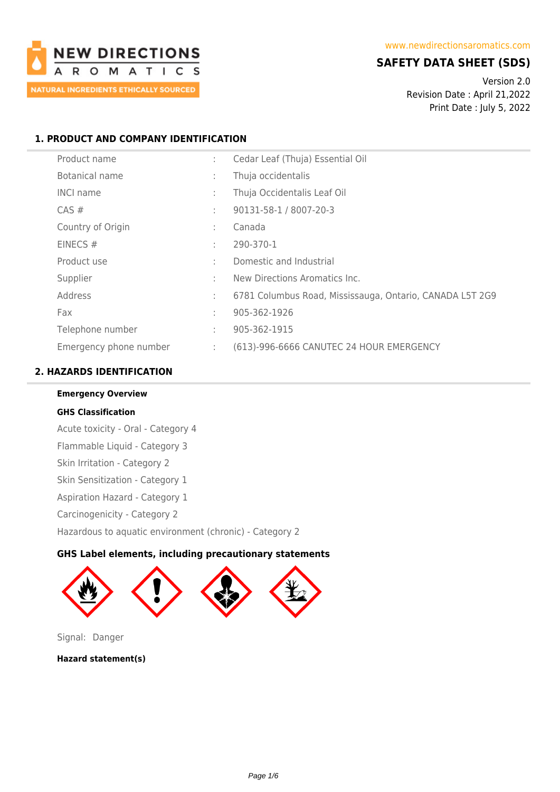

# **SAFETY DATA SHEET (SDS)**

Version 2.0 Revision Date : April 21,2022 Print Date : July 5, 2022

# **1. PRODUCT AND COMPANY IDENTIFICATION**

| Product name           | ÷            | Cedar Leaf (Thuja) Essential Oil                         |
|------------------------|--------------|----------------------------------------------------------|
| Botanical name         | ÷            | Thuja occidentalis                                       |
| <b>INCI name</b>       | ÷            | Thuja Occidentalis Leaf Oil                              |
| $CAS \#$               | ÷            | 90131-58-1 / 8007-20-3                                   |
| Country of Origin      | ÷            | Canada                                                   |
| EINECS $#$             | t            | 290-370-1                                                |
| Product use            | $\mathbf{r}$ | Domestic and Industrial                                  |
| Supplier               | ٠            | New Directions Aromatics Inc.                            |
| Address                | ÷            | 6781 Columbus Road, Mississauga, Ontario, CANADA L5T 2G9 |
| Fax                    | ÷            | 905-362-1926                                             |
| Telephone number       | ÷            | 905-362-1915                                             |
| Emergency phone number | ÷            | (613)-996-6666 CANUTEC 24 HOUR EMERGENCY                 |

# **2. HAZARDS IDENTIFICATION**

**Emergency Overview**

# **GHS Classification**

Acute toxicity - Oral - Category 4 Flammable Liquid - Category 3 Skin Irritation - Category 2 Skin Sensitization - Category 1 Aspiration Hazard - Category 1 Carcinogenicity - Category 2 Hazardous to aquatic environment (chronic) - Category 2

# **GHS Label elements, including precautionary statements**



Signal: Danger

**Hazard statement(s)**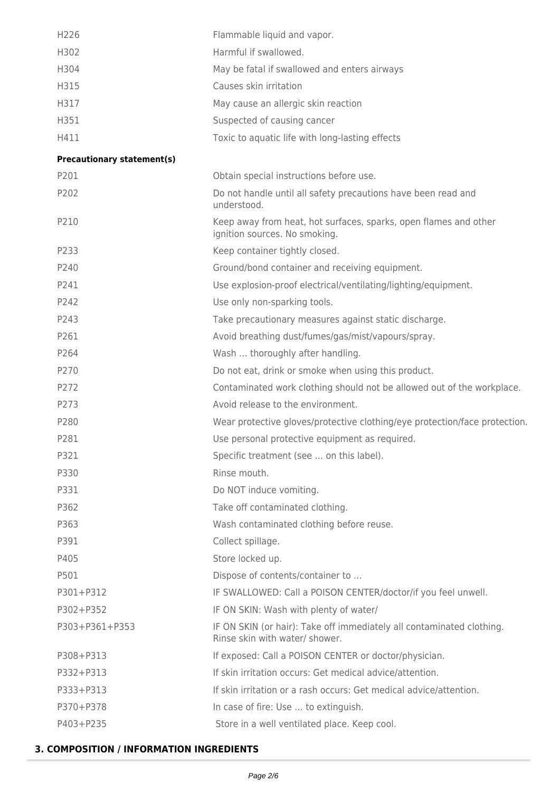| H226                              | Flammable liquid and vapor.                                                                             |
|-----------------------------------|---------------------------------------------------------------------------------------------------------|
| H302                              | Harmful if swallowed.                                                                                   |
| H304                              | May be fatal if swallowed and enters airways                                                            |
| H315                              | Causes skin irritation                                                                                  |
| H317                              | May cause an allergic skin reaction                                                                     |
| H351                              | Suspected of causing cancer                                                                             |
| H411                              | Toxic to aquatic life with long-lasting effects                                                         |
| <b>Precautionary statement(s)</b> |                                                                                                         |
| P201                              | Obtain special instructions before use.                                                                 |
| P202                              | Do not handle until all safety precautions have been read and<br>understood.                            |
| P210                              | Keep away from heat, hot surfaces, sparks, open flames and other<br>ignition sources. No smoking.       |
| P233                              | Keep container tightly closed.                                                                          |
| P240                              | Ground/bond container and receiving equipment.                                                          |
| P241                              | Use explosion-proof electrical/ventilating/lighting/equipment.                                          |
| P242                              | Use only non-sparking tools.                                                                            |
| P243                              | Take precautionary measures against static discharge.                                                   |
| P261                              | Avoid breathing dust/fumes/gas/mist/vapours/spray.                                                      |
| P264                              | Wash  thoroughly after handling.                                                                        |
| P270                              | Do not eat, drink or smoke when using this product.                                                     |
| P272                              | Contaminated work clothing should not be allowed out of the workplace.                                  |
| P273                              | Avoid release to the environment.                                                                       |
| P280                              | Wear protective gloves/protective clothing/eye protection/face protection.                              |
| P281                              | Use personal protective equipment as required.                                                          |
| P321                              | Specific treatment (see  on this label).                                                                |
| P330                              | Rinse mouth.                                                                                            |
| P331                              | Do NOT induce vomiting.                                                                                 |
| P362                              | Take off contaminated clothing.                                                                         |
| P363                              | Wash contaminated clothing before reuse.                                                                |
| P391                              | Collect spillage.                                                                                       |
| P405                              | Store locked up.                                                                                        |
| P501                              | Dispose of contents/container to                                                                        |
| P301+P312                         | IF SWALLOWED: Call a POISON CENTER/doctor/if you feel unwell.                                           |
| P302+P352                         | IF ON SKIN: Wash with plenty of water/                                                                  |
| P303+P361+P353                    | IF ON SKIN (or hair): Take off immediately all contaminated clothing.<br>Rinse skin with water/ shower. |
| P308+P313                         | If exposed: Call a POISON CENTER or doctor/physician.                                                   |
| P332+P313                         | If skin irritation occurs: Get medical advice/attention.                                                |
| P333+P313                         | If skin irritation or a rash occurs: Get medical advice/attention.                                      |
| P370+P378                         | In case of fire: Use  to extinguish.                                                                    |
| P403+P235                         | Store in a well ventilated place. Keep cool.                                                            |

# **3. COMPOSITION / INFORMATION INGREDIENTS**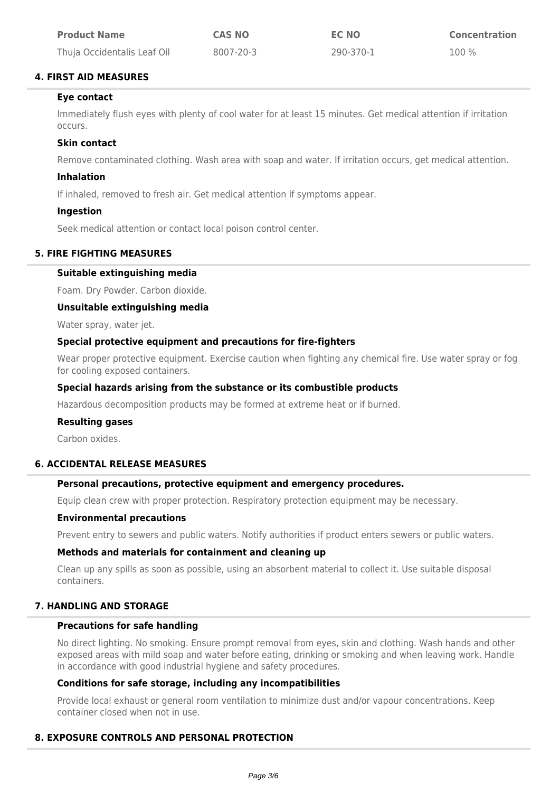| <b>Product Name</b>         | <b>CAS NO</b> | <b>EC NO</b> | <b>Concentration</b> |
|-----------------------------|---------------|--------------|----------------------|
| Thuja Occidentalis Leaf Oil | 8007-20-3     | 290-370-1    | $100\%$              |

# **4. FIRST AID MEASURES**

# **Eye contact**

Immediately flush eyes with plenty of cool water for at least 15 minutes. Get medical attention if irritation occurs.

# **Skin contact**

Remove contaminated clothing. Wash area with soap and water. If irritation occurs, get medical attention.

# **Inhalation**

If inhaled, removed to fresh air. Get medical attention if symptoms appear.

# **Ingestion**

Seek medical attention or contact local poison control center.

# **5. FIRE FIGHTING MEASURES**

# **Suitable extinguishing media**

Foam. Dry Powder. Carbon dioxide.

# **Unsuitable extinguishing media**

Water spray, water jet.

# **Special protective equipment and precautions for fire-fighters**

Wear proper protective equipment. Exercise caution when fighting any chemical fire. Use water spray or fog for cooling exposed containers.

# **Special hazards arising from the substance or its combustible products**

Hazardous decomposition products may be formed at extreme heat or if burned.

# **Resulting gases**

Carbon oxides.

# **6. ACCIDENTAL RELEASE MEASURES**

# **Personal precautions, protective equipment and emergency procedures.**

Equip clean crew with proper protection. Respiratory protection equipment may be necessary.

# **Environmental precautions**

Prevent entry to sewers and public waters. Notify authorities if product enters sewers or public waters.

# **Methods and materials for containment and cleaning up**

Clean up any spills as soon as possible, using an absorbent material to collect it. Use suitable disposal containers.

# **7. HANDLING AND STORAGE**

# **Precautions for safe handling**

No direct lighting. No smoking. Ensure prompt removal from eyes, skin and clothing. Wash hands and other exposed areas with mild soap and water before eating, drinking or smoking and when leaving work. Handle in accordance with good industrial hygiene and safety procedures.

# **Conditions for safe storage, including any incompatibilities**

Provide local exhaust or general room ventilation to minimize dust and/or vapour concentrations. Keep container closed when not in use.

# **8. EXPOSURE CONTROLS AND PERSONAL PROTECTION**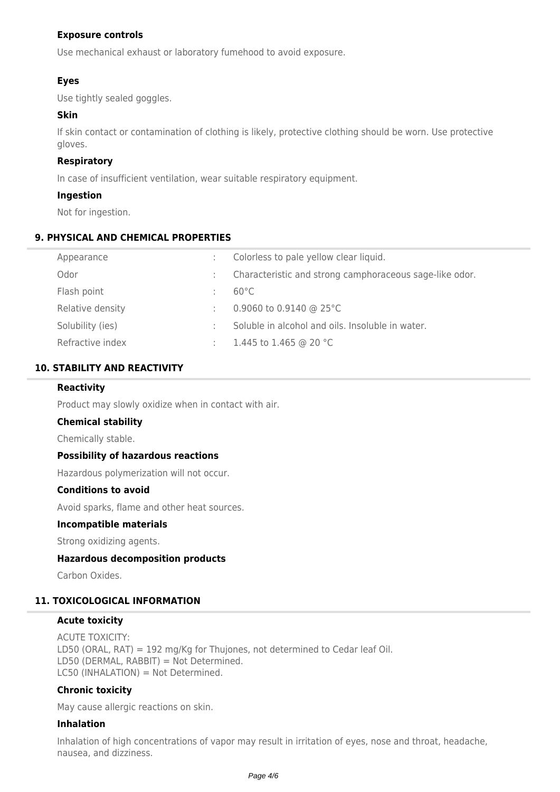# **Exposure controls**

Use mechanical exhaust or laboratory fumehood to avoid exposure.

# **Eyes**

Use tightly sealed goggles.

# **Skin**

If skin contact or contamination of clothing is likely, protective clothing should be worn. Use protective gloves.

# **Respiratory**

In case of insufficient ventilation, wear suitable respiratory equipment.

# **Ingestion**

Not for ingestion.

# **9. PHYSICAL AND CHEMICAL PROPERTIES**

| Appearance       | Colorless to pale yellow clear liquid.                  |
|------------------|---------------------------------------------------------|
| Odor             | Characteristic and strong camphoraceous sage-like odor. |
| Flash point      | $60^{\circ}$ C                                          |
| Relative density | 0.9060 to 0.9140 @ 25 $^{\circ}$ C                      |
| Solubility (ies) | Soluble in alcohol and oils. Insoluble in water.        |
| Refractive index | 1.445 to 1.465 @ 20 °C                                  |

# **10. STABILITY AND REACTIVITY**

# **Reactivity**

Product may slowly oxidize when in contact with air.

# **Chemical stability**

Chemically stable.

# **Possibility of hazardous reactions**

Hazardous polymerization will not occur.

# **Conditions to avoid**

Avoid sparks, flame and other heat sources.

#### **Incompatible materials**

Strong oxidizing agents.

# **Hazardous decomposition products**

Carbon Oxides.

# **11. TOXICOLOGICAL INFORMATION**

#### **Acute toxicity**

ACUTE TOXICITY: LD50 (ORAL, RAT) = 192 mg/Kg for Thujones, not determined to Cedar leaf Oil. LD50 (DERMAL, RABBIT) = Not Determined. LC50 (INHALATION) = Not Determined.

# **Chronic toxicity**

May cause allergic reactions on skin.

# **Inhalation**

Inhalation of high concentrations of vapor may result in irritation of eyes, nose and throat, headache, nausea, and dizziness.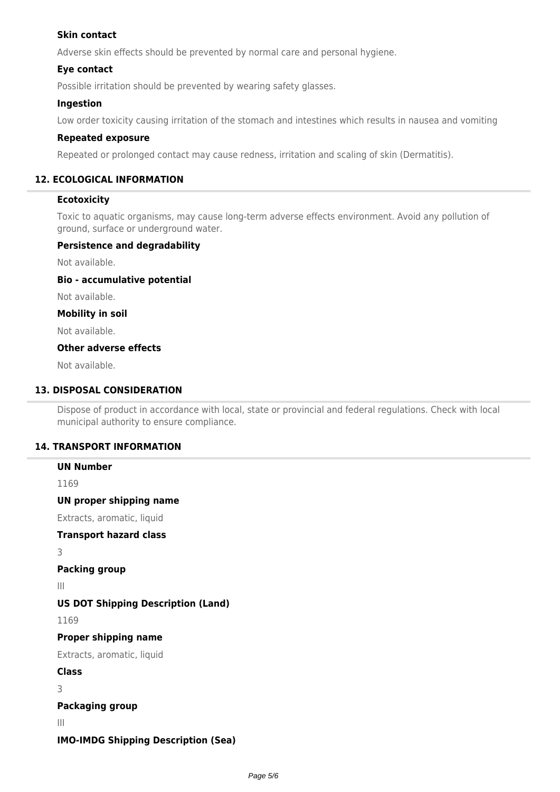# **Skin contact**

Adverse skin effects should be prevented by normal care and personal hygiene.

# **Eye contact**

Possible irritation should be prevented by wearing safety glasses.

# **Ingestion**

Low order toxicity causing irritation of the stomach and intestines which results in nausea and vomiting

# **Repeated exposure**

Repeated or prolonged contact may cause redness, irritation and scaling of skin (Dermatitis).

# **12. ECOLOGICAL INFORMATION**

# **Ecotoxicity**

Toxic to aquatic organisms, may cause long-term adverse effects environment. Avoid any pollution of ground, surface or underground water.

# **Persistence and degradability**

Not available.

**Bio - accumulative potential**

Not available.

### **Mobility in soil**

Not available.

# **Other adverse effects**

Not available.

# **13. DISPOSAL CONSIDERATION**

Dispose of product in accordance with local, state or provincial and federal regulations. Check with local municipal authority to ensure compliance.

# **14. TRANSPORT INFORMATION**

# **UN Number** 1169 **UN proper shipping name** Extracts, aromatic, liquid **Transport hazard class** 3 **Packing group** III **US DOT Shipping Description (Land)** 1169 **Proper shipping name** Extracts, aromatic, liquid **Class** 3 **Packaging group** III **IMO-IMDG Shipping Description (Sea)**